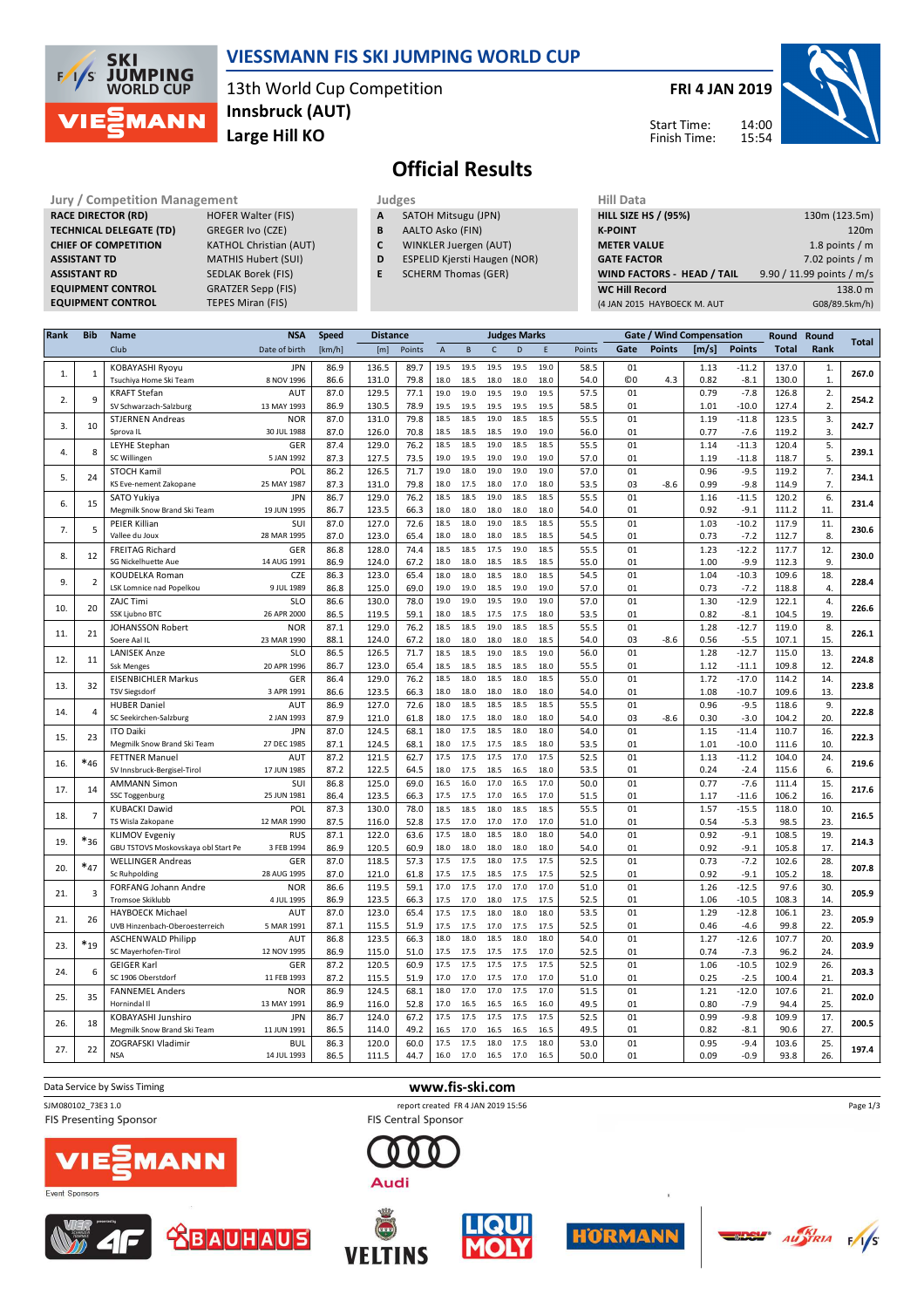

## **VIESSMANN FIS SKI JUMPING WORLD CUP**

13th World Cup Competition **Large Hill KO Innsbruck (AUT)**

## **FRI 4 JAN 2019**

Start Time: Finish Time:



# **Official Results**

**Jury / Competition Management development development of the Judges of American Hill Data RACE DIRECTOR (RD) HOFER Walter (FIS) TECHNICAL DELEGATE (TD)** GREGER Ivo (CZE) **ASSISTANT RD** SEDLAK Borek (FIS)<br>**EQUIPMENT CONTROL** GRATZER Sepp (FIS) **EQUIPMENT CONTROL** 

**CHIEF OF COMPETITION** KATHOL Christian (AUT) **ASSISTANT TD** MATHIS Hubert (SUI) **EQUIPMENT CONTROL TEPES Miran (FIS)** 

- **A** SATOH Mitsugu (JPN)
- **B** AALTO Asko (FIN)
- **C** WINKLER Juergen (AUT)
- **D** ESPELID Kjersti Haugen (NOR)
- **E** SCHERM Thomas (GER)

| (4 JAN 2015 HAYBOECK M. AUT | G08/89.5km/h)             |
|-----------------------------|---------------------------|
| <b>WC Hill Record</b>       | 138.0 m                   |
| WIND FACTORS - HEAD / TAIL  | 9.90 / 11.99 points / m/s |
| <b>GATE FACTOR</b>          | 7.02 points $/m$          |
| <b>METER VALUE</b>          | 1.8 points $/m$           |
| <b>K-POINT</b>              | 120 <sub>m</sub>          |
| <b>HILL SIZE HS / (95%)</b> | 130m (123.5m)             |
| Hill Data                   |                           |

| Rank | <b>Bib</b>     | <b>Name</b>                         | <b>NSA</b>    | <b>Speed</b> |       | <b>Distance</b> |                           | <b>Judges Marks</b> |              |      |      | Gate / Wind Compensation |            |        | Round | Round         | <b>Total</b> |                  |       |  |  |  |  |
|------|----------------|-------------------------------------|---------------|--------------|-------|-----------------|---------------------------|---------------------|--------------|------|------|--------------------------|------------|--------|-------|---------------|--------------|------------------|-------|--|--|--|--|
|      |                | Club                                | Date of birth | [km/h]       | [m]   | Points          | $\boldsymbol{\mathsf{A}}$ | B                   | $\mathsf{C}$ | D    | E    | Points                   | Gate       | Points | [m/s] | <b>Points</b> | <b>Total</b> | Rank             |       |  |  |  |  |
|      |                | KOBAYASHI Ryoyu                     | <b>JPN</b>    | 86.9         | 136.5 | 89.7            | 19.5                      | 19.5                | 19.5         | 19.5 | 19.0 | 58.5                     | 01         |        | 1.13  | $-11.2$       | 137.0        | 1.               |       |  |  |  |  |
| 1.   | $1\,$          | Tsuchiya Home Ski Team              | 8 NOV 1996    | 86.6         | 131.0 | 79.8            | 18.0                      | 18.5                | 18.0         | 18.0 | 18.0 | 54.0                     | $_{\odot}$ | 4.3    | 0.82  | $-8.1$        | 130.0        | 1.               | 267.0 |  |  |  |  |
|      |                | <b>KRAFT Stefan</b>                 | AUT           | 87.0         | 129.5 | 77.1            | 19.0                      | 19.0                | 19.5         | 19.0 | 19.5 | 57.5                     | 01         |        | 0.79  | $-7.8$        | 126.8        | $\overline{2}$ . |       |  |  |  |  |
| 2.   | 9              | SV Schwarzach-Salzburg              | 13 MAY 1993   | 86.9         | 130.5 | 78.9            | 19.5                      | 19.5                | 19.5         | 19.5 | 19.5 | 58.5                     | 01         |        | 1.01  | $-10.0$       | 127.4        | 2.               | 254.2 |  |  |  |  |
|      |                | <b>STJERNEN Andreas</b>             | <b>NOR</b>    | 87.0         | 131.0 | 79.8            | 18.5                      | 18.5                | 19.0         | 18.5 | 18.5 | 55.5                     | 01         |        | 1.19  | $-11.8$       | 123.5        | 3.               |       |  |  |  |  |
| 3.   | 10             | Sprova IL                           | 30 JUL 1988   | 87.0         | 126.0 | 70.8            | 18.5                      | 18.5                | 18.5         | 19.0 | 19.0 | 56.0                     | 01         |        | 0.77  | $-7.6$        | 119.2        | 3.               | 242.7 |  |  |  |  |
|      |                | <b>LEYHE Stephan</b>                | GER           | 87.4         | 129.0 | 76.2            | 18.5                      | 18.5                | 19.0         | 18.5 | 18.5 | 55.5                     | 01         |        | 1.14  | $-11.3$       | 120.4        | 5.               |       |  |  |  |  |
| 4.   | 8              | SC Willingen                        | 5 JAN 1992    | 87.3         | 127.5 | 73.5            | 19.0                      | 19.5                | 19.0         | 19.0 | 19.0 | 57.0                     | 01         |        | 1.19  | $-11.8$       | 118.7        | 5.               | 239.1 |  |  |  |  |
|      |                | STOCH Kamil                         | POL           | 86.2         | 126.5 | 71.7            | 19.0                      | 18.0                | 19.0         | 19.0 | 19.0 | 57.0                     | 01         |        | 0.96  | $-9.5$        | 119.2        | 7.               |       |  |  |  |  |
| 5.   | 24             | KS Eve-nement Zakopane              | 25 MAY 1987   | 87.3         | 131.0 | 79.8            | 18.0                      | 17.5                | 18.0         | 17.0 | 18.0 | 53.5                     | 03         | $-8.6$ | 0.99  | $-9.8$        | 114.9        | 7.               | 234.1 |  |  |  |  |
|      |                | SATO Yukiya                         | <b>JPN</b>    | 86.7         | 129.0 | 76.2            | 18.5                      | 18.5                | 19.0         | 18.5 | 18.5 | 55.5                     | 01         |        | 1.16  | $-11.5$       | 120.2        | 6.               |       |  |  |  |  |
| 6.   | 15             | Megmilk Snow Brand Ski Team         | 19 JUN 1995   | 86.7         | 123.5 | 66.3            | 18.0                      | 18.0                | 18.0         | 18.0 | 18.0 | 54.0                     | 01         |        | 0.92  | $-9.1$        | 111.2        | 11.              | 231.4 |  |  |  |  |
|      |                | PEIER Killian                       | SUI           | 87.0         | 127.0 | 72.6            | 18.5                      | 18.0                | 19.0         | 18.5 | 18.5 | 55.5                     | 01         |        | 1.03  | $-10.2$       | 117.9        | 11.              |       |  |  |  |  |
| 7.   | 5              | Vallee du Joux                      | 28 MAR 1995   | 87.0         | 123.0 | 65.4            | 18.0                      | 18.0                | 18.0         | 18.5 | 18.5 | 54.5                     | 01         |        | 0.73  | $-7.2$        | 112.7        | 8.               | 230.6 |  |  |  |  |
|      |                | <b>FREITAG Richard</b>              | GER           | 86.8         | 128.0 | 74.4            | 18.5                      | 18.5                | 17.5         | 19.0 | 18.5 | 55.5                     | 01         |        | 1.23  | $-12.2$       | 117.7        | 12.              |       |  |  |  |  |
| 8.   | 12             | SG Nickelhuette Aue                 | 14 AUG 1991   | 86.9         | 124.0 | 67.2            | 18.0                      | 18.0                | 18.5         | 18.5 | 18.5 | 55.0                     | 01         |        | 1.00  | $-9.9$        | 112.3        | 9.               | 230.0 |  |  |  |  |
|      |                | <b>KOUDELKA Roman</b>               | CZE           | 86.3         | 123.0 | 65.4            | 18.0                      | 18.0                | 18.5         | 18.0 | 18.5 | 54.5                     | 01         |        | 1.04  | $-10.3$       | 109.6        | 18.              |       |  |  |  |  |
| 9.   | $\overline{2}$ | LSK Lomnice nad Popelkou            | 9 JUL 1989    | 86.8         | 125.0 | 69.0            | 19.0                      | 19.0                | 18.5         | 19.0 | 19.0 | 57.0                     | 01         |        | 0.73  | $-7.2$        | 118.8        | 4.               | 228.4 |  |  |  |  |
|      |                | ZAJC Timi                           | <b>SLO</b>    | 86.6         | 130.0 | 78.0            | 19.0                      | 19.0                | 19.5         | 19.0 | 19.0 | 57.0                     | 01         |        | 1.30  | $-12.9$       | 122.1        | 4.               |       |  |  |  |  |
| 10.  | 20             | SSK Ljubno BTC                      | 26 APR 2000   | 86.5         | 119.5 | 59.1            | 18.0                      | 18.5                | 17.5         | 17.5 | 18.0 | 53.5                     | 01         |        | 0.82  | $-8.1$        | 104.5        | 19.              | 226.6 |  |  |  |  |
|      |                | JOHANSSON Robert                    | <b>NOR</b>    | 87.1         | 129.0 | 76.2            | 18.5                      | 18.5                | 19.0         | 18.5 | 18.5 | 55.5                     | 01         |        | 1.28  | $-12.7$       | 119.0        | 8.               |       |  |  |  |  |
| 11.  | 21             | Soere Aal IL                        | 23 MAR 1990   | 88.1         | 124.0 | 67.2            | 18.0                      | 18.0                | 18.0         | 18.0 | 18.5 | 54.0                     | 03         | $-8.6$ | 0.56  | $-5.5$        | 107.1        | 15.              | 226.1 |  |  |  |  |
|      |                | <b>LANISEK Anze</b>                 | <b>SLO</b>    | 86.5         | 126.5 | 71.7            | 18.5                      | 18.5                | 19.0         | 18.5 | 19.0 | 56.0                     | 01         |        | 1.28  | $-12.7$       | 115.0        | 13.              |       |  |  |  |  |
| 12.  | 11             | <b>Ssk Menges</b>                   | 20 APR 1996   | 86.7         | 123.0 | 65.4            | 18.5                      | 18.5                | 18.5         | 18.5 | 18.0 | 55.5                     | 01         |        | 1.12  | $-11.1$       | 109.8        | 12.              | 224.8 |  |  |  |  |
|      |                | <b>EISENBICHLER Markus</b>          | GER           | 86.4         | 129.0 | 76.2            | 18.5                      | 18.0                | 18.5         | 18.0 | 18.5 | 55.0                     | 01         |        | 1.72  | $-17.0$       | 114.2        | 14.              |       |  |  |  |  |
| 13.  | 32             | <b>TSV Siegsdorf</b>                | 3 APR 1991    | 86.6         | 123.5 | 66.3            | 18.0                      | 18.0                | 18.0         | 18.0 | 18.0 | 54.0                     | 01         |        | 1.08  | $-10.7$       | 109.6        | 13.              | 223.8 |  |  |  |  |
|      |                | <b>HUBER Daniel</b>                 | AUT           | 86.9         | 127.0 | 72.6            | 18.0                      | 18.5                | 18.5         | 18.5 | 18.5 | 55.5                     | 01         |        | 0.96  | $-9.5$        | 118.6        | 9.               |       |  |  |  |  |
| 14.  | 4              | SC Seekirchen-Salzburg              | 2 JAN 1993    | 87.9         | 121.0 | 61.8            | 18.0                      | 17.5                | 18.0         | 18.0 | 18.0 | 54.0                     | 03         | $-8.6$ | 0.30  | $-3.0$        | 104.2        | 20.              | 222.8 |  |  |  |  |
|      |                | <b>ITO Daiki</b>                    | <b>JPN</b>    | 87.0         | 124.5 | 68.1            | 18.0                      | 17.5                | 18.5         | 18.0 | 18.0 | 54.0                     | 01         |        | 1.15  | $-11.4$       | 110.7        | 16.              |       |  |  |  |  |
| 15.  | 23             | Megmilk Snow Brand Ski Team         | 27 DEC 1985   | 87.1         | 124.5 | 68.1            | 18.0                      | 17.5                | 17.5         | 18.5 | 18.0 | 53.5                     | 01         |        | 1.01  | $-10.0$       | 111.6        | 10.              | 222.3 |  |  |  |  |
|      |                | <b>FETTNER Manuel</b>               | AUT           | 87.2         | 121.5 | 62.7            | 17.5                      | 17.5                | 17.5         | 17.0 | 17.5 | 52.5                     | 01         |        | 1.13  | $-11.2$       | 104.0        | 24.              |       |  |  |  |  |
| 16.  | $*_{46}$       | SV Innsbruck-Bergisel-Tirol         | 17 JUN 1985   | 87.2         | 122.5 | 64.5            | 18.0                      | 17.5                | 18.5         | 16.5 | 18.0 | 53.5                     | 01         |        | 0.24  | $-2.4$        | 115.6        | 6.               | 219.6 |  |  |  |  |
|      |                | <b>AMMANN Simon</b>                 | SUI           | 86.8         | 125.0 | 69.0            | 16.5                      | 16.0                | 17.0         | 16.5 | 17.0 | 50.0                     | 01         |        | 0.77  | $-7.6$        | 111.4        | 15.              |       |  |  |  |  |
| 17.  | 14             | <b>SSC Toggenburg</b>               | 25 JUN 1981   | 86.4         | 123.5 | 66.3            | 17.5                      | 17.5                | 17.0         | 16.5 | 17.0 | 51.5                     | 01         |        | 1.17  | $-11.6$       | 106.2        | 16.              | 217.6 |  |  |  |  |
|      |                | <b>KUBACKI Dawid</b>                | POL           | 87.3         | 130.0 | 78.0            | 18.5                      | 18.5                | 18.0         | 18.5 | 18.5 | 55.5                     | 01         |        | 1.57  | $-15.5$       | 118.0        | 10.              |       |  |  |  |  |
| 18.  | $\overline{7}$ | TS Wisla Zakopane                   | 12 MAR 1990   | 87.5         | 116.0 | 52.8            | 17.5                      | 17.0                | 17.0         | 17.0 | 17.0 | 51.0                     | 01         |        | 0.54  | $-5.3$        | 98.5         | 23.              | 216.5 |  |  |  |  |
|      |                | <b>KLIMOV Evgeniy</b>               | <b>RUS</b>    | 87.1         | 122.0 | 63.6            | 17.5                      | 18.0                | 18.5         | 18.0 | 18.0 | 54.0                     | 01         |        | 0.92  | $-9.1$        | 108.5        | 19.              |       |  |  |  |  |
| 19.  | $*_{36}$       | GBU TSTOVS Moskovskaya obl Start Pe | 3 FEB 1994    | 86.9         | 120.5 | 60.9            | 18.0                      | 18.0                | 18.0         | 18.0 | 18.0 | 54.0                     | 01         |        | 0.92  | $-9.1$        | 105.8        | 17.              | 214.3 |  |  |  |  |
|      |                | <b>WELLINGER Andreas</b>            | GER           | 87.0         | 118.5 | 57.3            | 17.5                      | 17.5                | 18.0         | 17.5 | 17.5 | 52.5                     | 01         |        | 0.73  | $-7.2$        | 102.6        | 28.              |       |  |  |  |  |
| 20.  | $*_{47}$       | Sc Ruhpolding                       | 28 AUG 1995   | 87.0         | 121.0 | 61.8            | 17.5                      | 17.5                | 18.5         | 17.5 | 17.5 | 52.5                     | 01         |        | 0.92  | $-9.1$        | 105.2        | 18.              | 207.8 |  |  |  |  |
|      |                | FORFANG Johann Andre                | <b>NOR</b>    | 86.6         | 119.5 | 59.1            | 17.0                      | 17.5                | 17.0         | 17.0 | 17.0 | 51.0                     | 01         |        | 1.26  | $-12.5$       | 97.6         | 30.              |       |  |  |  |  |
| 21.  | 3              | <b>Tromsoe Skiklubb</b>             | 4 JUL 1995    | 86.9         | 123.5 | 66.3            | 17.5                      | 17.0                | 18.0         | 17.5 | 17.5 | 52.5                     | 01         |        | 1.06  | $-10.5$       | 108.3        | 14.              | 205.9 |  |  |  |  |
|      |                | <b>HAYBOECK Michael</b>             | AUT           | 87.0         | 123.0 | 65.4            | 17.5                      | 17.5                | 18.0         | 18.0 | 18.0 | 53.5                     | 01         |        | 1.29  | $-12.8$       | 106.1        | 23.              |       |  |  |  |  |
| 21.  | 26             | UVB Hinzenbach-Oberoesterreich      | 5 MAR 1991    | 87.1         | 115.5 | 51.9            | 17.5                      | 17.5                | 17.0         | 17.5 | 17.5 | 52.5                     | 01         |        | 0.46  | $-4.6$        | 99.8         | 22.              | 205.9 |  |  |  |  |
|      |                | <b>ASCHENWALD Philipp</b>           | AUT           | 86.8         | 123.5 | 66.3            | 18.0                      | 18.0                | 18.5         | 18.0 | 18.0 | 54.0                     | 01         |        | 1.27  | $-12.6$       | 107.7        | 20.              |       |  |  |  |  |
| 23.  | $*_{19}$       | SC Mayerhofen-Tirol                 | 12 NOV 1995   | 86.9         | 115.0 | 51.0            | 17.5                      | 17.5                | 17.5         | 17.5 | 17.0 | 52.5                     | 01         |        | 0.74  | $-7.3$        | 96.2         | 24.              | 203.9 |  |  |  |  |
|      |                | <b>GEIGER Karl</b>                  | GER           | 87.2         | 120.5 | 60.9            | 17.5                      | 17.5                | 17.5         | 17.5 | 17.5 | 52.5                     | 01         |        | 1.06  | $-10.5$       | 102.9        | 26.              |       |  |  |  |  |
| 24.  | 6              | SC 1906 Oberstdorf                  | 11 FEB 1993   | 87.2         | 115.5 | 51.9            | 17.0                      | 17.0                | 17.5         | 17.0 | 17.0 | 51.0                     | 01         |        | 0.25  | $-2.5$        | 100.4        | 21.              | 203.3 |  |  |  |  |
|      |                | <b>FANNEMEL Anders</b>              | <b>NOR</b>    | 86.9         | 124.5 | 68.1            | 18.0                      | 17.0                | 17.0         | 17.5 | 17.0 | 51.5                     | 01         |        | 1.21  | $-12.0$       | 107.6        | 21.              |       |  |  |  |  |
| 25.  | 35             | Hornindal II                        | 13 MAY 1991   | 86.9         | 116.0 | 52.8            | 17.0                      | 16.5                | 16.5         | 16.5 | 16.0 | 49.5                     | 01         |        | 0.80  | $-7.9$        | 94.4         | 25.              | 202.0 |  |  |  |  |
|      |                | KOBAYASHI Junshiro                  | <b>JPN</b>    | 86.7         | 124.0 | 67.2            | 17.5                      | 17.5                | 17.5         | 17.5 | 17.5 | 52.5                     | 01         |        | 0.99  | $-9.8$        | 109.9        | 17.              |       |  |  |  |  |
| 26.  | 18             | Megmilk Snow Brand Ski Team         | 11 JUN 1991   | 86.5         | 114.0 | 49.2            | 16.5                      | 17.0                | 16.5         | 16.5 | 16.5 | 49.5                     | 01         |        | 0.82  | $-8.1$        | 90.6         | 27.              | 200.5 |  |  |  |  |
|      |                | ZOGRAFSKI Vladimir                  | <b>BUL</b>    | 86.3         | 120.0 | 60.0            | 17.5                      | 17.5                | 18.0         | 17.5 | 18.0 | 53.0                     | 01         |        | 0.95  | $-9.4$        | 103.6        | 25.              |       |  |  |  |  |
| 27.  | 22             | <b>NSA</b>                          | 14 JUL 1993   | 86.5         | 111.5 | 44.7            | 16.0                      | 17.0                | 16.5         | 17.0 | 16.5 | 50.0                     | 01         |        | 0.09  | $-0.9$        | 93.8         | 26.              | 197.4 |  |  |  |  |
|      |                |                                     |               |              |       |                 |                           |                     |              |      |      |                          |            |        |       |               |              |                  |       |  |  |  |  |

**FIS Presenting Sponsor** 

#### Data Service by Swiss Timing **www.fis-ski.com**

SJM080102\_73E3 1.0 report created FR 4 JAN 2019 15:56 **FIS Central Sponsor** 









Audi





Page 1/3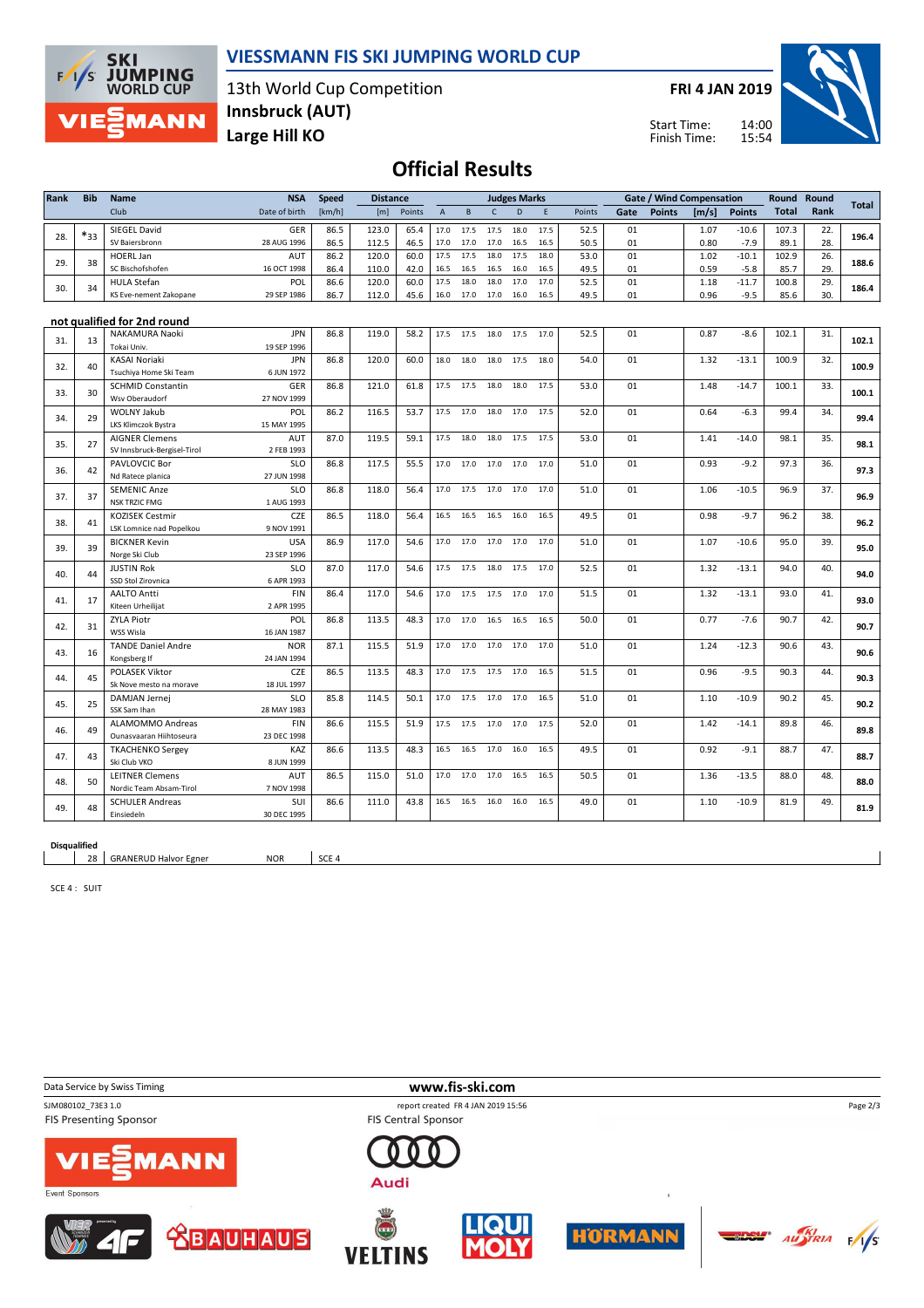

### **VIESSMANN FIS SKI JUMPING WORLD CUP**

13th World Cup Competition **Large Hill KO Innsbruck (AUT)**

**FRI 4 JAN 2019**

Start Time: Finish Time:



## **Official Results**

| Rank | <b>Bib</b> | Name                                              | <b>NSA</b>                | <b>Speed</b> | <b>Distance</b> |        |                |           |                | <b>Judges Marks</b> |      |        |      | <b>Gate / Wind Compensation</b> |       |               | Round        | Round |              |
|------|------------|---------------------------------------------------|---------------------------|--------------|-----------------|--------|----------------|-----------|----------------|---------------------|------|--------|------|---------------------------------|-------|---------------|--------------|-------|--------------|
|      |            | Club                                              | Date of birth             | [km/h]       | [m]             | Points | $\overline{A}$ | B         | $\mathsf{C}$   | D                   | E    | Points | Gate | <b>Points</b>                   | [m/s] | <b>Points</b> | <b>Total</b> | Rank  | <b>Total</b> |
|      |            | SIEGEL David                                      | <b>GER</b>                | 86.5         | 123.0           | 65.4   | 17.0           | 17.5      | 17.5           | 18.0                | 17.5 | 52.5   | 01   |                                 | 1.07  | $-10.6$       | 107.3        | 22.   |              |
| 28.  | $*_{33}$   | SV Baiersbronn                                    | 28 AUG 1996               | 86.5         | 112.5           | 46.5   | 17.0           | 17.0      | 17.0           | 16.5                | 16.5 | 50.5   | 01   |                                 | 0.80  | $-7.9$        | 89.1         | 28.   | 196.4        |
| 29.  | 38         | <b>HOERL Jan</b>                                  | AUT                       | 86.2         | 120.0           | 60.0   | 17.5           | 17.5      | 18.0           | 17.5                | 18.0 | 53.0   | 01   |                                 | 1.02  | $-10.1$       | 102.9        | 26.   | 188.6        |
|      |            | SC Bischofshofen                                  | 16 OCT 1998               | 86.4         | 110.0           | 42.0   | 16.5           | 16.5      | 16.5           | 16.0                | 16.5 | 49.5   | 01   |                                 | 0.59  | $-5.8$        | 85.7         | 29.   |              |
| 30.  | 34         | <b>HULA Stefan</b>                                | POL                       | 86.6         | 120.0           | 60.0   | 17.5           | 18.0      | 18.0           | 17.0                | 17.0 | 52.5   | 01   |                                 | 1.18  | $-11.7$       | 100.8        | 29.   | 186.4        |
|      |            | KS Eve-nement Zakopane                            | 29 SEP 1986               | 86.7         | 112.0           | 45.6   | 16.0           | 17.0      | 17.0           | 16.0                | 16.5 | 49.5   | 01   |                                 | 0.96  | $-9.5$        | 85.6         | 30.   |              |
|      |            |                                                   |                           |              |                 |        |                |           |                |                     |      |        |      |                                 |       |               |              |       |              |
|      |            | not qualified for 2nd round                       |                           |              |                 |        |                |           |                |                     |      |        |      |                                 |       |               |              |       |              |
| 31.  | 13         | NAKAMURA Naoki<br>Tokai Univ.                     | <b>JPN</b><br>19 SEP 1996 | 86.8         | 119.0           | 58.2   | 17.5           | 17.5      | 18.0           | 17.5                | 17.0 | 52.5   | 01   |                                 | 0.87  | $-8.6$        | 102.1        | 31.   | 102.1        |
|      |            | <b>KASAI Noriaki</b>                              | <b>JPN</b>                | 86.8         | 120.0           | 60.0   | 18.0           | 18.0      | 18.0           | 17.5                | 18.0 | 54.0   | 01   |                                 | 1.32  | $-13.1$       | 100.9        | 32.   |              |
| 32.  | 40         | Tsuchiya Home Ski Team                            | 6 JUN 1972                |              |                 |        |                |           |                |                     |      |        |      |                                 |       |               |              |       | 100.9        |
|      |            | <b>SCHMID Constantin</b>                          | <b>GER</b>                | 86.8         | 121.0           | 61.8   | 17.5           | 17.5      | 18.0           | 18.0                | 17.5 | 53.0   | 01   |                                 | 1.48  | $-14.7$       | 100.1        | 33.   |              |
| 33.  | 30         | Wsv Oberaudorf                                    | 27 NOV 1999               |              |                 |        |                |           |                |                     |      |        |      |                                 |       |               |              |       | 100.1        |
|      |            | WOLNY Jakub                                       | POL                       | 86.2         | 116.5           | 53.7   | 17.5           | 17.0      | 18.0           | 17.0                | 17.5 | 52.0   | 01   |                                 | 0.64  | $-6.3$        | 99.4         | 34.   |              |
| 34.  | 29         | LKS Klimczok Bystra                               | 15 MAY 1995               |              |                 |        |                |           |                |                     |      |        |      |                                 |       |               |              |       | 99.4         |
|      |            | <b>AIGNER Clemens</b>                             | <b>AUT</b>                | 87.0         | 119.5           | 59.1   | 17.5           | 18.0      | 18.0           | 17.5                | 17.5 | 53.0   | 01   |                                 | 1.41  | $-14.0$       | 98.1         | 35.   |              |
| 35.  | 27         | SV Innsbruck-Bergisel-Tirol                       | 2 FEB 1993                |              |                 |        |                |           |                |                     |      |        |      |                                 |       |               |              |       | 98.1         |
|      |            | PAVLOVCIC Bor                                     | <b>SLO</b>                | 86.8         | 117.5           | 55.5   |                | 17.0 17.0 | 17.0 17.0      |                     | 17.0 | 51.0   | 01   |                                 | 0.93  | $-9.2$        | 97.3         | 36.   |              |
| 36.  | 42         | Nd Ratece planica                                 | 27 JUN 1998               |              |                 |        |                |           |                |                     |      |        |      |                                 |       |               |              |       | 97.3         |
| 37.  | 37         | <b>SEMENIC Anze</b>                               | <b>SLO</b>                | 86.8         | 118.0           | 56.4   | 17.0           | 17.5      | 17.0           | 17.0                | 17.0 | 51.0   | 01   |                                 | 1.06  | $-10.5$       | 96.9         | 37.   | 96.9         |
|      |            | <b>NSK TRZIC FMG</b>                              | 1 AUG 1993                |              |                 |        |                |           |                |                     |      |        |      |                                 |       |               |              |       |              |
| 38.  | 41         | <b>KOZISEK Cestmir</b>                            | <b>CZE</b>                | 86.5         | 118.0           | 56.4   | 16.5           | 16.5      | 16.5           | 16.0                | 16.5 | 49.5   | 01   |                                 | 0.98  | $-9.7$        | 96.2         | 38.   | 96.2         |
|      |            | LSK Lomnice nad Popelkou                          | 9 NOV 1991                |              |                 |        |                |           |                |                     |      |        |      |                                 |       |               |              |       |              |
| 39.  | 39         | <b>BICKNER Kevin</b>                              | <b>USA</b>                | 86.9         | 117.0           | 54.6   | 17.0           | 17.0      | 17.0           | 17.0                | 17.0 | 51.0   | 01   |                                 | 1.07  | $-10.6$       | 95.0         | 39.   | 95.0         |
|      |            | Norge Ski Club                                    | 23 SEP 1996               |              |                 |        |                |           |                |                     |      |        |      |                                 |       |               |              |       |              |
| 40.  | 44         | <b>JUSTIN Rok</b><br>SSD Stol Zirovnica           | <b>SLO</b><br>6 APR 1993  | 87.0         | 117.0           | 54.6   | 17.5           | 17.5      | 18.0           | 17.5                | 17.0 | 52.5   | 01   |                                 | 1.32  | $-13.1$       | 94.0         | 40.   | 94.0         |
|      |            | <b>AALTO Antti</b>                                | FIN                       | 86.4         | 117.0           | 54.6   | 17.0           | 17.5      | 17.5           | 17.0                | 17.0 | 51.5   | 01   |                                 | 1.32  | $-13.1$       | 93.0         | 41.   |              |
| 41.  | 17         | Kiteen Urheilijat                                 | 2 APR 1995                |              |                 |        |                |           |                |                     |      |        |      |                                 |       |               |              |       | 93.0         |
|      |            | <b>ZYLA Piotr</b>                                 | POL                       | 86.8         | 113.5           | 48.3   | 17.0           | 17.0      | 16.5           | 16.5                | 16.5 | 50.0   | 01   |                                 | 0.77  | $-7.6$        | 90.7         | 42.   |              |
| 42.  | 31         | WSS Wisla                                         | 16 JAN 1987               |              |                 |        |                |           |                |                     |      |        |      |                                 |       |               |              |       | 90.7         |
|      |            | <b>TANDE Daniel Andre</b>                         | <b>NOR</b>                | 87.1         | 115.5           | 51.9   | 17.0           | 17.0      | 17.0 17.0      |                     | 17.0 | 51.0   | 01   |                                 | 1.24  | $-12.3$       | 90.6         | 43.   |              |
| 43.  | 16         | Kongsberg If                                      | 24 JAN 1994               |              |                 |        |                |           |                |                     |      |        |      |                                 |       |               |              |       | 90.6         |
|      |            | POLASEK Viktor                                    | CZE                       | 86.5         | 113.5           | 48.3   | 17.0           |           | 17.5 17.5 17.0 |                     | 16.5 | 51.5   | 01   |                                 | 0.96  | $-9.5$        | 90.3         | 44.   |              |
| 44.  | 45         | Sk Nove mesto na morave                           | 18 JUL 1997               |              |                 |        |                |           |                |                     |      |        |      |                                 |       |               |              |       | 90.3         |
| 45.  | 25         | DAMJAN Jernei                                     | <b>SLO</b>                | 85.8         | 114.5           | 50.1   | 17.0           |           | 17.5 17.0 17.0 |                     | 16.5 | 51.0   | 01   |                                 | 1.10  | $-10.9$       | 90.2         | 45.   | 90.2         |
|      |            | SSK Sam Ihan                                      | 28 MAY 1983               |              |                 |        |                |           |                |                     |      |        |      |                                 |       |               |              |       |              |
| 46.  | 49         | <b>ALAMOMMO Andreas</b>                           | <b>FIN</b>                | 86.6         | 115.5           | 51.9   | 17.5           | 17.5      | 17.0 17.0      |                     | 17.5 | 52.0   | 01   |                                 | 1.42  | $-14.1$       | 89.8         | 46.   | 89.8         |
|      |            | Ounasvaaran Hiihtoseura                           | 23 DEC 1998               |              |                 |        |                |           |                |                     |      |        |      |                                 |       |               |              |       |              |
| 47.  | 43         | <b>TKACHENKO Sergey</b>                           | KAZ                       | 86.6         | 113.5           | 48.3   | 16.5           | 16.5      | 17.0           | 16.0                | 16.5 | 49.5   | 01   |                                 | 0.92  | $-9.1$        | 88.7         | 47.   | 88.7         |
|      |            | Ski Club VKO                                      | 8 JUN 1999                |              |                 |        |                |           |                |                     |      |        |      |                                 |       |               |              |       |              |
| 48.  | 50         | <b>LEITNER Clemens</b>                            | AUT                       | 86.5         | 115.0           | 51.0   | 17.0           | 17.0      | 17.0           | 16.5                | 16.5 | 50.5   | 01   |                                 | 1.36  | $-13.5$       | 88.0         | 48.   | 88.0         |
|      |            | Nordic Team Absam-Tirol<br><b>SCHULER Andreas</b> | 7 NOV 1998<br>SUI         | 86.6         | 111.0           | 43.8   | 16.5           | 16.5      | 16.0           | 16.0                | 16.5 | 49.0   | 01   |                                 | 1.10  | $-10.9$       | 81.9         | 49.   |              |
| 49.  | 48         | Einsiedeln                                        | 30 DEC 1995               |              |                 |        |                |           |                |                     |      |        |      |                                 |       |               |              |       | 81.9         |

**Disqualified**

28 | GRANERUD Halvor Egner NOR | SCE 4

SCE 4 : SUIT

**Data Service by Swiss Timing WWW.fis-ski.com** SJM080102\_73E3 1.0 report created FR 4 JAN 2019 15:56<br>FIS Presenting Sponsor FIS Central Sponsor FIS Central Sponsor Page 2/3FIS Presenting Sponsor 1ANI Audi Event Sponsors **SDSY** AUSTRIA FAS  $\boldsymbol{\Theta}$ **BAUHAUS HORMANN VELTINS**